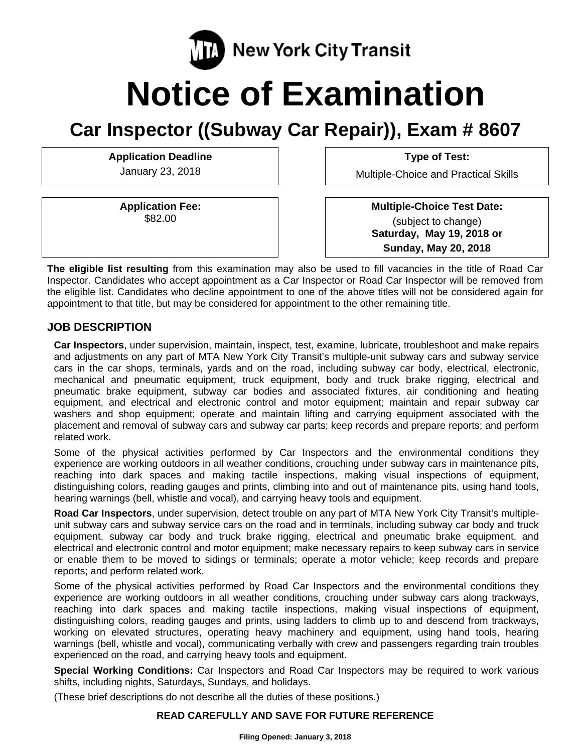

# **Notice of Examination**

# **Car Inspector ((Subway Car Repair)), Exam # 8607**

Application Deadline **Type of Test: Application** Deadline

**Application Fee:**  \$82.00

January 23, 2018 **Multiple-Choice and Practical Skills** 

 **Multiple-Choice Test Date:** (subject to change) **Saturday, May 19, 2018 or Sunday, May 20, 2018** 

**The eligible list resulting** from this examination may also be used to fill vacancies in the title of Road Car Inspector. Candidates who accept appointment as a Car Inspector or Road Car Inspector will be removed from the eligible list. Candidates who decline appointment to one of the above titles will not be considered again for appointment to that title, but may be considered for appointment to the other remaining title.

#### **JOB DESCRIPTION**

**Car Inspectors**, under supervision, maintain, inspect, test, examine, lubricate, troubleshoot and make repairs and adjustments on any part of MTA New York City Transit's multiple-unit subway cars and subway service cars in the car shops, terminals, yards and on the road, including subway car body, electrical, electronic, mechanical and pneumatic equipment, truck equipment, body and truck brake rigging, electrical and pneumatic brake equipment, subway car bodies and associated fixtures, air conditioning and heating equipment, and electrical and electronic control and motor equipment; maintain and repair subway car washers and shop equipment; operate and maintain lifting and carrying equipment associated with the placement and removal of subway cars and subway car parts; keep records and prepare reports; and perform related work.

Some of the physical activities performed by Car Inspectors and the environmental conditions they experience are working outdoors in all weather conditions, crouching under subway cars in maintenance pits, reaching into dark spaces and making tactile inspections, making visual inspections of equipment, distinguishing colors, reading gauges and prints, climbing into and out of maintenance pits, using hand tools, hearing warnings (bell, whistle and vocal), and carrying heavy tools and equipment.

**Road Car Inspectors**, under supervision, detect trouble on any part of MTA New York City Transit's multipleunit subway cars and subway service cars on the road and in terminals, including subway car body and truck equipment, subway car body and truck brake rigging, electrical and pneumatic brake equipment, and electrical and electronic control and motor equipment; make necessary repairs to keep subway cars in service or enable them to be moved to sidings or terminals; operate a motor vehicle; keep records and prepare reports; and perform related work.

Some of the physical activities performed by Road Car Inspectors and the environmental conditions they experience are working outdoors in all weather conditions, crouching under subway cars along trackways, reaching into dark spaces and making tactile inspections, making visual inspections of equipment, distinguishing colors, reading gauges and prints, using ladders to climb up to and descend from trackways, working on elevated structures, operating heavy machinery and equipment, using hand tools, hearing warnings (bell, whistle and vocal), communicating verbally with crew and passengers regarding train troubles experienced on the road, and carrying heavy tools and equipment.

**Special Working Conditions:** Car Inspectors and Road Car Inspectors may be required to work various shifts, including nights, Saturdays, Sundays, and holidays.

(These brief descriptions do not describe all the duties of these positions.)

#### **READ CAREFULLY AND SAVE FOR FUTURE REFERENCE**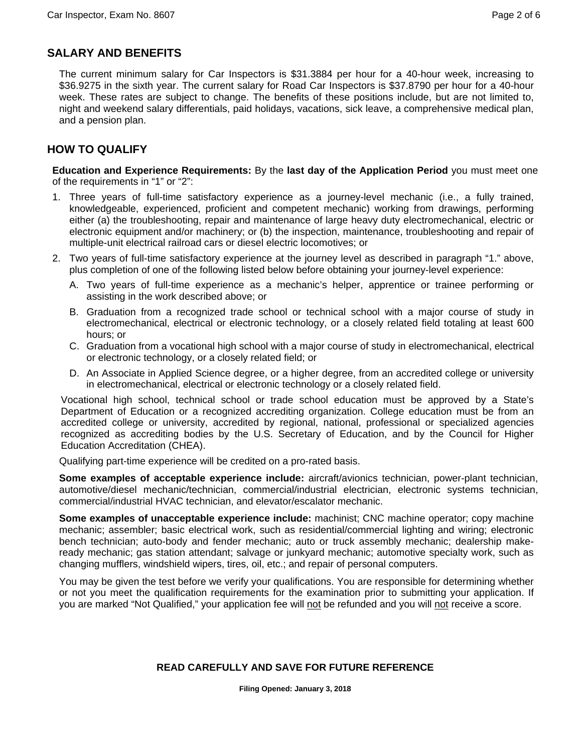# **SALARY AND BENEFITS**

The current minimum salary for Car Inspectors is \$31.3884 per hour for a 40-hour week, increasing to \$36.9275 in the sixth year. The current salary for Road Car Inspectors is \$37.8790 per hour for a 40-hour week. These rates are subject to change. The benefits of these positions include, but are not limited to, night and weekend salary differentials, paid holidays, vacations, sick leave, a comprehensive medical plan, and a pension plan.

# **HOW TO QUALIFY**

**Education and Experience Requirements:** By the **last day of the Application Period** you must meet one of the requirements in "1" or "2":

- 1. Three years of full-time satisfactory experience as a journey-level mechanic (i.e., a fully trained, knowledgeable, experienced, proficient and competent mechanic) working from drawings, performing either (a) the troubleshooting, repair and maintenance of large heavy duty electromechanical, electric or electronic equipment and/or machinery; or (b) the inspection, maintenance, troubleshooting and repair of multiple-unit electrical railroad cars or diesel electric locomotives; or
- 2. Two years of full-time satisfactory experience at the journey level as described in paragraph "1." above, plus completion of one of the following listed below before obtaining your journey-level experience:
	- A. Two years of full-time experience as a mechanic's helper, apprentice or trainee performing or assisting in the work described above; or
	- B. Graduation from a recognized trade school or technical school with a major course of study in electromechanical, electrical or electronic technology, or a closely related field totaling at least 600 hours; or
	- C. Graduation from a vocational high school with a major course of study in electromechanical, electrical or electronic technology, or a closely related field; or
	- D. An Associate in Applied Science degree, or a higher degree, from an accredited college or university in electromechanical, electrical or electronic technology or a closely related field.

Vocational high school, technical school or trade school education must be approved by a State's Department of Education or a recognized accrediting organization. College education must be from an accredited college or university, accredited by regional, national, professional or specialized agencies recognized as accrediting bodies by the U.S. Secretary of Education, and by the Council for Higher Education Accreditation (CHEA).

Qualifying part-time experience will be credited on a pro-rated basis.

**Some examples of acceptable experience include:** aircraft/avionics technician, power-plant technician, automotive/diesel mechanic/technician, commercial/industrial electrician, electronic systems technician, commercial/industrial HVAC technician, and elevator/escalator mechanic.

**Some examples of unacceptable experience include:** machinist; CNC machine operator; copy machine mechanic; assembler; basic electrical work, such as residential/commercial lighting and wiring; electronic bench technician; auto-body and fender mechanic; auto or truck assembly mechanic; dealership makeready mechanic; gas station attendant; salvage or junkyard mechanic; automotive specialty work, such as changing mufflers, windshield wipers, tires, oil, etc.; and repair of personal computers.

You may be given the test before we verify your qualifications. You are responsible for determining whether or not you meet the qualification requirements for the examination prior to submitting your application. If you are marked "Not Qualified," your application fee will not be refunded and you will not receive a score.

# **READ CAREFULLY AND SAVE FOR FUTURE REFERENCE**

**Filing Opened: January 3, 2018**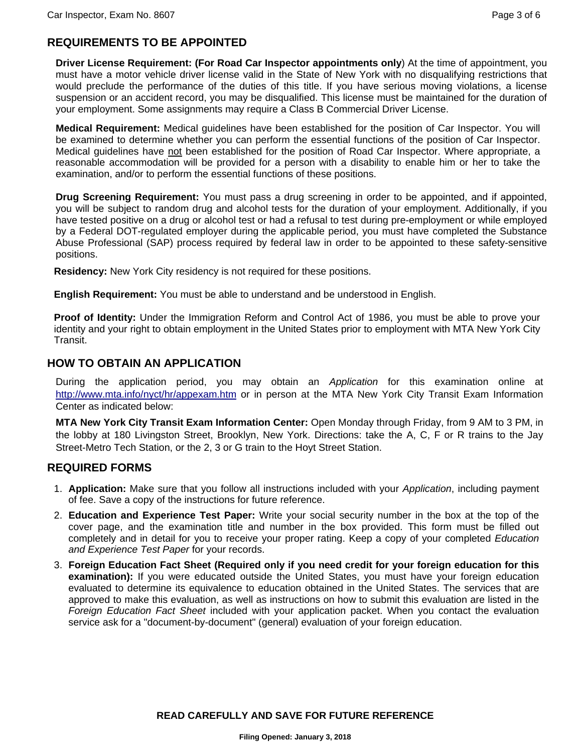#### **REQUIREMENTS TO BE APPOINTED**

**Driver License Requirement: (For Road Car Inspector appointments only**) At the time of appointment, you must have a motor vehicle driver license valid in the State of New York with no disqualifying restrictions that would preclude the performance of the duties of this title. If you have serious moving violations, a license suspension or an accident record, you may be disqualified. This license must be maintained for the duration of your employment. Some assignments may require a Class B Commercial Driver License.

**Medical Requirement:** Medical guidelines have been established for the position of Car Inspector. You will be examined to determine whether you can perform the essential functions of the position of Car Inspector. Medical guidelines have not been established for the position of Road Car Inspector. Where appropriate, a reasonable accommodation will be provided for a person with a disability to enable him or her to take the examination, and/or to perform the essential functions of these positions.

**Drug Screening Requirement:** You must pass a drug screening in order to be appointed, and if appointed, you will be subject to random drug and alcohol tests for the duration of your employment. Additionally, if you have tested positive on a drug or alcohol test or had a refusal to test during pre-employment or while employed by a Federal DOT-regulated employer during the applicable period, you must have completed the Substance Abuse Professional (SAP) process required by federal law in order to be appointed to these safety-sensitive positions.

**Residency:** New York City residency is not required for these positions.

**English Requirement:** You must be able to understand and be understood in English.

**Proof of Identity:** Under the Immigration Reform and Control Act of 1986, you must be able to prove your identity and your right to obtain employment in the United States prior to employment with MTA New York City Transit.

#### **HOW TO OBTAIN AN APPLICATION**

During the application period, you may obtain an *Application* for this examination online at http://www.mta.info/nyct/hr/appexam.htm or in person at the MTA New York City Transit Exam Information Center as indicated below:

**MTA New York City Transit Exam Information Center:** Open Monday through Friday, from 9 AM to 3 PM, in the lobby at 180 Livingston Street, Brooklyn, New York. Directions: take the A, C, F or R trains to the Jay Street-Metro Tech Station, or the 2, 3 or G train to the Hoyt Street Station.

#### **REQUIRED FORMS**

- 1. **Application:** Make sure that you follow all instructions included with your *Application*, including payment of fee. Save a copy of the instructions for future reference.
- 2. **Education and Experience Test Paper:** Write your social security number in the box at the top of the cover page, and the examination title and number in the box provided. This form must be filled out completely and in detail for you to receive your proper rating. Keep a copy of your completed *Education and Experience Test Paper* for your records.
- 3. **Foreign Education Fact Sheet (Required only if you need credit for your foreign education for this examination):** If you were educated outside the United States, you must have your foreign education evaluated to determine its equivalence to education obtained in the United States. The services that are approved to make this evaluation, as well as instructions on how to submit this evaluation are listed in the *Foreign Education Fact Sheet* included with your application packet. When you contact the evaluation service ask for a "document-by-document" (general) evaluation of your foreign education.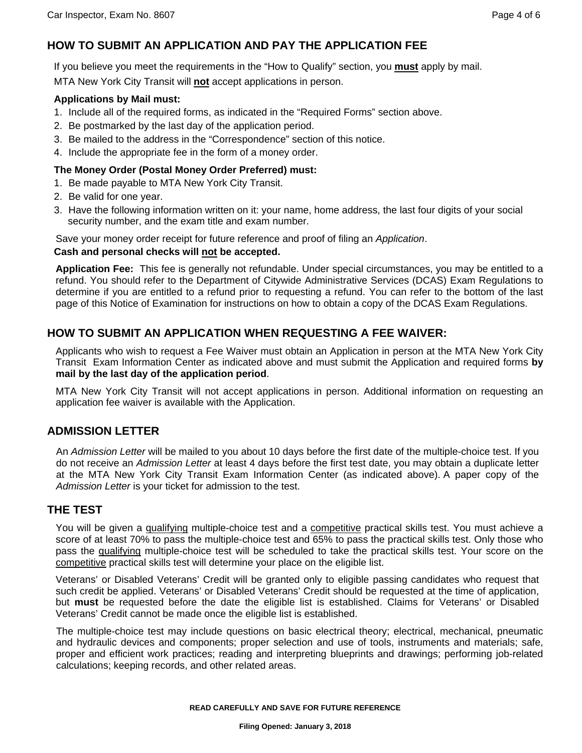# **HOW TO SUBMIT AN APPLICATION AND PAY THE APPLICATION FEE**

If you believe you meet the requirements in the "How to Qualify" section, you **must** apply by mail.

MTA New York City Transit will **not** accept applications in person.

#### **Applications by Mail must:**

- 1. Include all of the required forms, as indicated in the "Required Forms" section above.
- 2. Be postmarked by the last day of the application period.
- 3. Be mailed to the address in the "Correspondence" section of this notice.
- 4. Include the appropriate fee in the form of a money order.

#### **The Money Order (Postal Money Order Preferred) must:**

- 1. Be made payable to MTA New York City Transit.
- 2. Be valid for one year.
- 3. Have the following information written on it: your name, home address, the last four digits of your social security number, and the exam title and exam number.

Save your money order receipt for future reference and proof of filing an *Application*.

#### **Cash and personal checks will not be accepted.**

**Application Fee:** This fee is generally not refundable. Under special circumstances, you may be entitled to a refund. You should refer to the Department of Citywide Administrative Services (DCAS) Exam Regulations to determine if you are entitled to a refund prior to requesting a refund. You can refer to the bottom of the last page of this Notice of Examination for instructions on how to obtain a copy of the DCAS Exam Regulations.

#### **HOW TO SUBMIT AN APPLICATION WHEN REQUESTING A FEE WAIVER:**

Applicants who wish to request a Fee Waiver must obtain an Application in person at the MTA New York City Transit Exam Information Center as indicated above and must submit the Application and required forms **by mail by the last day of the application period**.

MTA New York City Transit will not accept applications in person. Additional information on requesting an application fee waiver is available with the Application.

#### **ADMISSION LETTER**

An *Admission Letter* will be mailed to you about 10 days before the first date of the multiple-choice test. If you do not receive an *Admission Letter* at least 4 days before the first test date, you may obtain a duplicate letter at the MTA New York City Transit Exam Information Center (as indicated above). A paper copy of the *Admission Letter* is your ticket for admission to the test.

#### **THE TEST**

You will be given a qualifying multiple-choice test and a competitive practical skills test. You must achieve a score of at least 70% to pass the multiple-choice test and 65% to pass the practical skills test. Only those who pass the qualifying multiple-choice test will be scheduled to take the practical skills test. Your score on the competitive practical skills test will determine your place on the eligible list.

Veterans' or Disabled Veterans' Credit will be granted only to eligible passing candidates who request that such credit be applied. Veterans' or Disabled Veterans' Credit should be requested at the time of application, but **must** be requested before the date the eligible list is established. Claims for Veterans' or Disabled Veterans' Credit cannot be made once the eligible list is established.

The multiple-choice test may include questions on basic electrical theory; electrical, mechanical, pneumatic and hydraulic devices and components; proper selection and use of tools, instruments and materials; safe, proper and efficient work practices; reading and interpreting blueprints and drawings; performing job-related calculations; keeping records, and other related areas.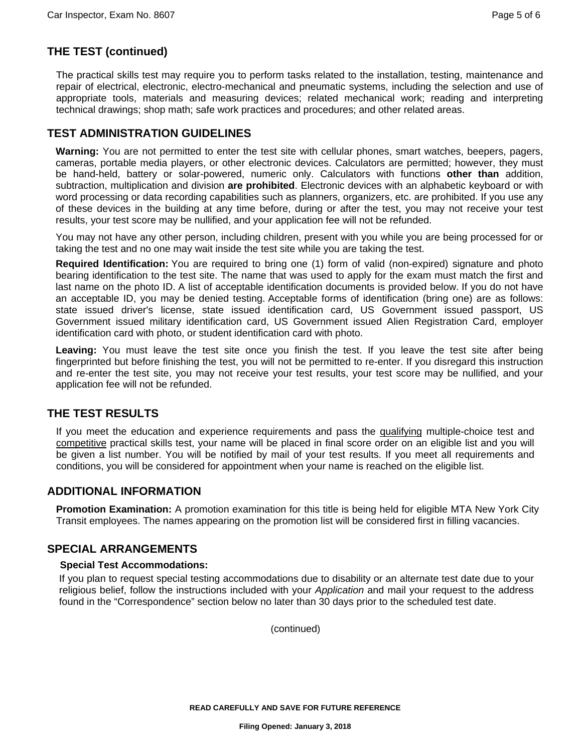# **THE TEST (continued)**

The practical skills test may require you to perform tasks related to the installation, testing, maintenance and repair of electrical, electronic, electro-mechanical and pneumatic systems, including the selection and use of appropriate tools, materials and measuring devices; related mechanical work; reading and interpreting technical drawings; shop math; safe work practices and procedures; and other related areas.

#### **TEST ADMINISTRATION GUIDELINES**

**Warning:** You are not permitted to enter the test site with cellular phones, smart watches, beepers, pagers, cameras, portable media players, or other electronic devices. Calculators are permitted; however, they must be hand-held, battery or solar-powered, numeric only. Calculators with functions **other than** addition, subtraction, multiplication and division **are prohibited**. Electronic devices with an alphabetic keyboard or with word processing or data recording capabilities such as planners, organizers, etc. are prohibited. If you use any of these devices in the building at any time before, during or after the test, you may not receive your test results, your test score may be nullified, and your application fee will not be refunded.

You may not have any other person, including children, present with you while you are being processed for or taking the test and no one may wait inside the test site while you are taking the test.

**Required Identification:** You are required to bring one (1) form of valid (non-expired) signature and photo bearing identification to the test site. The name that was used to apply for the exam must match the first and last name on the photo ID. A list of acceptable identification documents is provided below. If you do not have an acceptable ID, you may be denied testing. Acceptable forms of identification (bring one) are as follows: state issued driver's license, state issued identification card, US Government issued passport, US Government issued military identification card, US Government issued Alien Registration Card, employer identification card with photo, or student identification card with photo.

**Leaving:** You must leave the test site once you finish the test. If you leave the test site after being fingerprinted but before finishing the test, you will not be permitted to re-enter. If you disregard this instruction and re-enter the test site, you may not receive your test results, your test score may be nullified, and your application fee will not be refunded.

#### **THE TEST RESULTS**

If you meet the education and experience requirements and pass the qualifying multiple-choice test and competitive practical skills test, your name will be placed in final score order on an eligible list and you will be given a list number. You will be notified by mail of your test results. If you meet all requirements and conditions, you will be considered for appointment when your name is reached on the eligible list.

#### **ADDITIONAL INFORMATION**

**Promotion Examination:** A promotion examination for this title is being held for eligible MTA New York City Transit employees. The names appearing on the promotion list will be considered first in filling vacancies.

#### **SPECIAL ARRANGEMENTS**

#### **Special Test Accommodations:**

If you plan to request special testing accommodations due to disability or an alternate test date due to your religious belief, follow the instructions included with your *Application* and mail your request to the address found in the "Correspondence" section below no later than 30 days prior to the scheduled test date.

(continued)

**READ CAREFULLY AND SAVE FOR FUTURE REFERENCE**